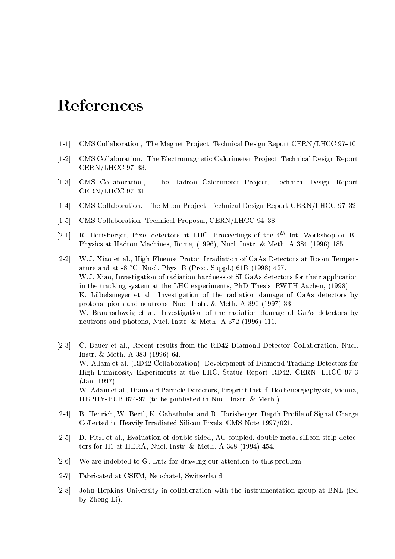## References

- $[1-1]$  CMS Collaboration, The Magnet Project, Technical Design Report CERN/LHCC 97-10.
- [1-2] CMS Collaboration, The Electromagnetic Calorimeter Project, Technical Design Report  $CERN/LHCC$  97-33.
- [1-3] CMS Collaboration, The Hadron Calorimeter Project, Technical Design Report  $CERN/LHCC$  97-31.
- [1-4] CMS Collaboration, The Muon Project, Technical Design Report CERN/LHCC 97-32.
- [1-5] CMS Collaboration, Technical Proposal, CERN/LHCC 94-38.
- [2-1] R. Horisberger, Pixel detectors at LHC, Proceedings of the  $4^{th}$  Int. Workshop on B-Physics at Hadron Machines, Rome, (1996), Nucl. Instr. & Meth. A 384 (1996) 185.
- [2-2] W.J. Xiao et al., High Fluence Proton Irradiation of GaAs Detectors at Room Temperature and at  $-8$  °C, Nucl. Phys. B (Proc. Suppl.) 61B (1998) 427. W.J. Xiao, Investigation of radiation hardness of SI GaAs detectors for their application in the tracking system at the LHC experiments, PhD Thesis, RWTH Aachen, (1998). K. Lübelsmeyer et al., Investigation of the radiation damage of GaAs detectors by protons, pions and neutrons, Nucl. Instr. & Meth. A 390 (1997) 33. W. Braunschweig et al., Investigation of the radiation damage of GaAs detectors by neutrons and photons, Nucl. Instr. & Meth. A 372 (1996) 111.
- [2-3] C. Bauer et al., Recent results from the RD42 Diamond Detector Collaboration, Nucl. Instr. & Meth. A 383 (1996) 64. W. Adam et al. (RD42-Collaboration), Development of Diamond Tracking Detectors for High Luminosity Experiments at the LHC, Status Report RD42, CERN, LHCC 97-3 (Jan. 1997). W. Adam et al., Diamond Particle Detectors, Preprint Inst. f. Hochenergiephysik, Vienna, HEPHY-PUB 674-97 (to be published in Nucl. Instr. & Meth.).
- [2-4] B. Henrich, W. Bertl, K. Gabathuler and R. Horisberger, Depth Profile of Signal Charge Collected in Heavily Irradiated Silicon Pixels, CMS Note 1997/021.
- [2-5] D. Pitzl et al., Evaluation of double sided, AC-coupled, double metal silicon strip detectors for H1 at HERA, Nucl. Instr. & Meth. A 348 (1994) 454.
- [2-6] We are indebted to G. Lutz for drawing our attention to this problem.
- [2-7] Fabricated at CSEM, Neuchatel, Switzerland.
- [2-8] John Hopkins University in collaboration with the instrumentation group at BNL (led by Zheng Li).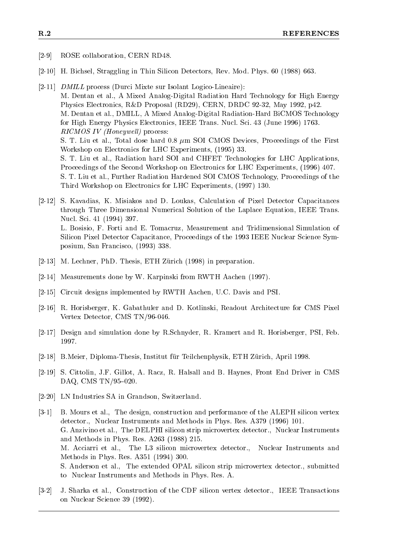- [2-9] ROSE collaboration, CERN RD48.
- [2-10] H. Bichsel, Straggling in Thin Silicon Detectors, Rev. Mod. Phys. 60 (1988) 663.
- [2-11] DMILL process (Durci Mixte sur Isolant Logico-Lineaire): M. Dentan et al., A Mixed Analog-Digital Radiation Hard Technology for High Energy Physics Electronics, R&D Proposal (RD29), CERN, DRDC 92-32, May 1992, p42. M. Dentan et al., DMILL, A Mixed Analog-Digital Radiation-Hard BiCMOS Technology for High Energy Physics Electronics, IEEE Trans. Nucl. Sci. 43 (June 1996) 1763.  $RICMOS$  IV (Honeywell) process: S. T. Liu et al., Total dose hard  $0.8 \mu m$  SOI CMOS Devices, Proceedings of the First Workshop on Electronics for LHC Experiments, (1995) 33. S. T. Liu et al., Radiation hard SOI and CHFET Technologies for LHC Applications, Proceedings of the Second Workshop on Electronics for LHC Experiments, (1996) 407. S. T. Liu et al., Further Radiation Hardened SOI CMOS Technology, Proceedings of the Third Workshop on Electronics for LHC Experiments, (1997) 130.
- [2-12] S. Kavadias, K. Misiakos and D. Loukas, Calculation of Pixel Detector Capacitances through Three Dimensional Numerical Solution of the Laplace Equation, IEEE Trans. Nucl. Sci. 41 (1994) 397. L. Bosisio, F. Forti and E. Tomacruz, Measurement and Tridimensional Simulation of Silicon Pixel Detector Capacitance, Proceedings of the 1993 IEEE Nuclear Science Symposium, San Francisco, (1993) 338.
- [2-13] M. Lechner, PhD. Thesis, ETH Zürich (1998) in preparation.
- [2-14] Measurements done by W. Karpinski from RWTH Aachen (1997).
- [2-15] Circuit designs implemented by RWTH Aachen, U.C. Davis and PSI.
- [2-16] R. Horisberger, K. Gabathuler and D. Kotlinski, Readout Architecture for CMS Pixel Vertex Detector, CMS TN/96-046.
- [2-17] Design and simulation done by R.Schnyder, R. Kramert and R. Horisberger, PSI, Feb. 1997.
- [2-18] B.Meier, Diploma-Thesis, Institut für Teilchenphysik, ETH Zürich, April 1998.
- [2-19] S. Cittolin, J.F. Gillot, A. Racz, R. Halsall and B. Haynes, Front End Driver in CMS DAQ, CMS TN/95-020.
- [2-20] LN Industries SA in Grandson, Switzerland.
- [3-1] B. Mours et al., The design, construction and performance of the ALEPH silicon vertex detector., Nuclear Instruments and Methods in Phys. Res. A379 (1996) 101. G. Anzivino et al., The DELPHI silicon strip microvertex detector., Nuclear Instruments and Methods in Phys. Res. A263 (1988) 215. M. Acciarri et al., The L3 silicon microvertex detector., Nuclear Instruments and Methods in Phys. Res. A351 (1994) 300. S. Anderson et al., The extended OPAL silicon strip microvertex detector., submitted to Nuclear Instruments and Methods in Phys. Res. A.
- [3-2] J. Sharka et al., Construction of the CDF silicon vertex detector., IEEE Transactions on Nuclear Science 39 (1992).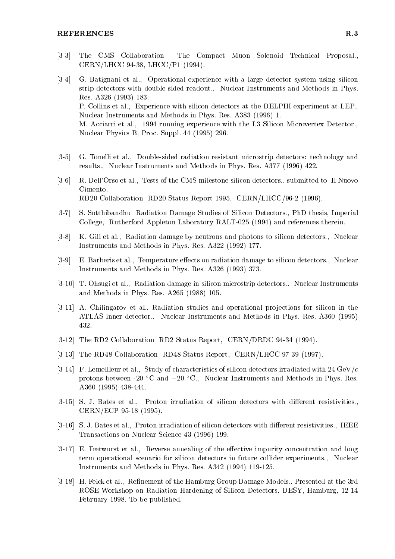- [3-3] The CMS Collaboration The Compact Muon Solenoid Technical Proposal., CERN/LHCC 94-38, LHCC/P1 (1994).
- [3-4] G. Batignani et al., Operational experience with a large detector system using silicon strip detectors with double sided readout., Nuclear Instruments and Methods in Phys. Res. A326 (1993) 183. P. Collins et al., Experience with silicon detectors at the DELPHI experiment at LEP., Nuclear Instruments and Methods in Phys. Res. A383 (1996) 1. M. Acciarri et al., 1994 running experience with the L3 Silicon Microvertex Detector., Nuclear Physics B, Proc. Suppl. 44 (1995) 296.
- [3-5] G. Tonelli et al., Double-sided radiation resistant microstrip detectors: technology and results., Nuclear Instruments and Methods in Phys. Res. A377 (1996) 422.
- [3-6] R. Dell'Orso et al., Tests of the CMS milestone silicon detectors., submitted to Il Nuovo Cimento. RD20 Collaboration RD20 Status Report 1995, CERN/LHCC/96-2 (1996).
- [3-7] S. Sotthibandhu Radiation Damage Studies of Silicon Detectors., PhD thesis, Imperial College, Rutherford Appleton Laboratory RALT-025 (1994) and references therein.
- [3-8] K. Gill et al., Radiation damage by neutrons and photons to silicon detectors., Nuclear Instruments and Methods in Phys. Res. A322 (1992) 177.
- [3-9] E. Barberis et al., Temperature effects on radiation damage to silicon detectors., Nuclear Instruments and Methods in Phys. Res. A326 (1993) 373.
- [3-10] T. Ohsugi et al., Radiation damage in silicon microstrip detectors., Nuclear Instruments and Methods in Phys. Res. A265 (1988) 105.
- [3-11] A. Chilingarov et al., Radiation studies and operational projections for silicon in the ATLAS inner detector., Nuclear Instruments and Methods in Phys. Res. A360 (1995) 432.
- [3-12] The RD2 Collaboration RD2 Status Report, CERN/DRDC 94-34 (1994).
- [3-13] The RD48 Collaboration RD48 Status Report, CERN/LHCC 97-39 (1997).
- [3-14] F. Lemeilleur et al., Study of characteristics of silicon detectors irradiated with 24 GeV/c protons between -20  $\degree$ C and +20  $\degree$ C., Nuclear Instruments and Methods in Phys. Res. A360 (1995) 438-444.
- [3-15] S. J. Bates et al., Proton irradiation of silicon detectors with different resistivities. CERN/ECP 95-18 (1995).
- [3-16] S. J. Bates et al., Proton irradiation of silicon detectors with different resistivities., IEEE Transactions on Nuclear Science 43 (1996) 199.
- [3-17] E. Fretwurst et al., Reverse annealing of the effective impurity concentration and long term operational scenario for silicon detectors in future collider experiments., Nuclear Instruments and Methods in Phys. Res. A342 (1994) 119-125.
- [3-18] H. Feick et al., Refinement of the Hamburg Group Damage Models., Presented at the 3rd ROSE Workshop on Radiation Hardening of Silicon Detectors, DESY, Hamburg, 12-14 February 1998. To be published.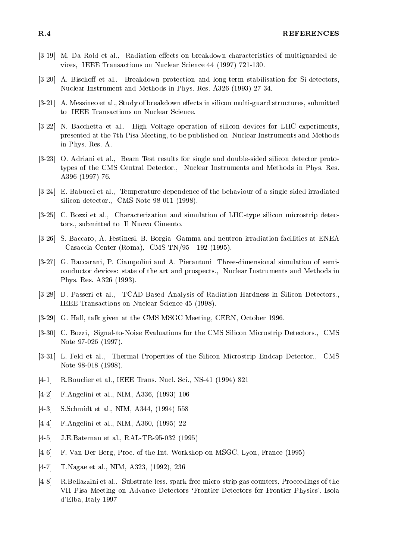- [3-19] M. Da Rold et al., Radiation effects on breakdown characteristics of multiguarded devices, IEEE Transactions on Nuclear Science 44 (1997) 721-130.
- [3-20] A. Bischoff et al., Breakdown protection and long-term stabilisation for Si-detectors, Nuclear Instrument and Methods in Phys. Res. A326 (1993) 27-34.
- [3-21] A. Messineo et al., Study of breakdown effects in silicon multi-guard structures, submitted to IEEE Transactions on Nuclear Science.
- [3-22] N. Bacchetta et al., High Voltage operation of silicon devices for LHC experiments, presented at the 7th Pisa Meeting, to be published on Nuclear Instruments and Methods in Phys. Res. A.
- [3-23] O. Adriani et al., Beam Test results for single and double-sided silicon detector prototypes of the CMS Central Detector., Nuclear Instruments and Methods in Phys. Res. A396 (1997) 76.
- [3-24] E. Babucci et al., Temperature dependence of the behaviour of a single-sided irradiated silicon detector., CMS Note 98-011 (1998).
- [3-25] C. Bozzi et al., Characterization and simulation of LHC-type silicon microstrip detectors., submitted to Il Nuovo Cimento.
- [3-26] S. Baccaro, A. Festinesi, B. Borgia Gamma and neutron irradiation facilities at ENEA - Casaccia Center (Roma), CMS TN/95 - 192 (1995).
- [3-27] G. Baccarani, P. Ciampolini and A. Pierantoni Three-dimensional simulation of semiconductor devices: state of the art and prospects., Nuclear Instruments and Methods in Phys. Res. A326 (1993).
- [3-28] D. Passeri et al., TCAD-Based Analysis of Radiation-Hardness in Silicon Detectors., IEEE Transactions on Nuclear Science 45 (1998).
- [3-29] G. Hall, talk given at the CMS MSGC Meeting, CERN, October 1996.
- [3-30] C. Bozzi, Signal-to-Noise Evaluations for the CMS Silicon Microstrip Detectors., CMS Note 97-026 (1997).
- [3-31] L. Feld et al., Thermal Properties of the Silicon Microstrip Endcap Detector., CMS Note 98-018 (1998).
- [4-1] R.Bouclier et al., IEEE Trans. Nucl. Sci., NS-41 (1994) 821
- [4-2] F.Angelini et al., NIM, A336, (1993) 106
- [4-3] S.Schmidt et al., NIM, A344, (1994) 558
- [4-4] F.Angelini et al., NIM, A360, (1995) 22
- [4-5] J.E.Bateman et al., RAL-TR-95-032 (1995)
- [4-6] F. Van Der Berg, Proc. of the Int. Workshop on MSGC, Lyon, France (1995)
- [4-7] T.Nagae et al., NIM, A323, (1992), 236
- [4-8] R.Bellazzini et al., Substrate-less, spark-free micro-strip gas counters, Proceedings of the VII Pisa Meeting on Advance Detectors `Frontier Detectors for Frontier Physics', Isola d'Elba, Italy 1997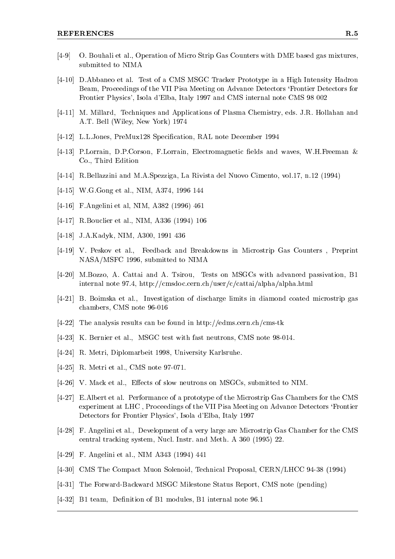- [4-9] O. Bouhali et al., Operation of Micro Strip Gas Counters with DME based gas mixtures, submitted to NIMA
- [4-10] D.Abbaneo et al. Test of a CMS MSGC Tracker Prototype in a High Intensity Hadron Beam, Proceedings of the VII Pisa Meeting on Advance Detectors `Frontier Detectors for Frontier Physics', Isola d'Elba, Italy 1997 and CMS internal note CMS 98 002
- [4-11] M. Millard, Techniques and Applications of Plasma Chemistry, eds. J.R. Hollahan and A.T. Bell (Wiley, New York) 1974
- [4-12] L.L.Jones, PreMux128 Specication, RAL note December 1994
- $[4-13]$  P.Lorrain, D.P.Corson, F.Lorrain, Electromagnetic fields and waves, W.H.Freeman & Co., Third Edition
- [4-14] R.Bellazzini and M.A.Spezziga, La Rivista del Nuovo Cimento, vol.17, n.12 (1994)
- [4-15] W.G.Gong et al., NIM, A374, 1996 144
- [4-16] F.Angelini et al, NIM, A382 (1996) 461
- [4-17] R.Bouclier et al., NIM, A336 (1994) 106
- [4-18] J.A.Kadyk, NIM, A300, 1991 436
- [4-19] V. Peskov et al., Feedback and Breakdowns in Microstrip Gas Counters , Preprint NASA/MSFC 1996, submitted to NIMA
- [4-20] M.Bozzo, A. Cattai and A. Tsirou, Tests on MSGCs with advanced passivation, B1 internal note 97.4, http://cmsdoc.cern.ch/user/c/cattai/alpha/alpha.html
- [4-21] B. Boimska et al., Investigation of discharge limits in diamond coated microstrip gas chambers, CMS note 96-016
- [4-22] The analysis results can be found in http://edms.cern.ch/cms-tk
- [4-23] K. Bernier et al., MSGC test with fast neutrons, CMS note 98-014.
- [4-24] R. Metri, Diplomarbeit 1998, University Karlsruhe.
- [4-25] R. Metri et al., CMS note 97-071.
- [4-26] V. Mack et al., Effects of slow neutrons on MSGCs, submitted to NIM.
- [4-27] E.Albert et al. Performance of a prototype of the Microstrip Gas Chambers for the CMS experiment at LHC , Proceedings of the VII Pisa Meeting on Advance Detectors `Frontier Detectors for Frontier Physics', Isola d'Elba, Italy 1997
- [4-28] F. Angelini et al., Development of a very large are Microstrip Gas Chamber for the CMS central tracking system, Nucl. Instr. and Meth. A 360 (1995) 22.
- [4-29] F. Angelini et al., NIM A343 (1994) 441
- [4-30] CMS The Compact Muon Solenoid, Technical Proposal, CERN/LHCC 94-38 (1994)
- [4-31] The Forward-Backward MSGC Milestone Status Report, CMS note (pending)
- [4-32] B1 team, Definition of B1 modules, B1 internal note 96.1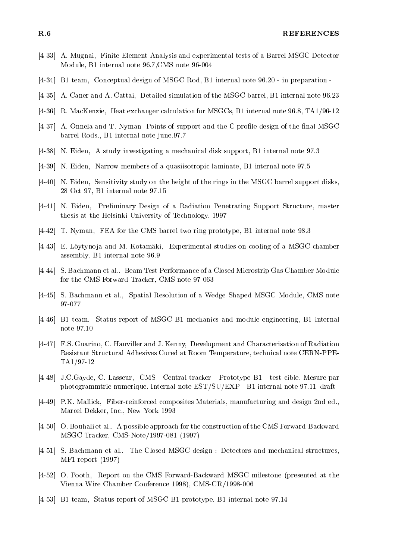- [4-33] A. Mugnai, Finite Element Analysis and experimental tests of a Barrel MSGC Detector Module, B1 internal note 96.7,CMS note 96-004
- [4-34] B1 team, Conceptual design of MSGC Rod, B1 internal note 96.20 in preparation -
- [4-35] A. Caner and A. Cattai, Detailed simulation of the MSGC barrel, B1 internal note 96.23
- [4-36] R. MacKenzie, Heat exchanger calculation for MSGCs, B1 internal note 96.8, TA1/96-12
- [4-37] A. Onnela and T. Nyman Points of support and the C-profile design of the final MSGC barrel Rods., B1 internal note june.97.7
- [4-38] N. Eiden, A study investigating a mechanical disk support, B1 internal note 97.3
- [4-39] N. Eiden, Narrow members of a quasiisotropic laminate, B1 internal note 97.5
- [4-40] N. Eiden, Sensitivity study on the height of the rings in the MSGC barrel support disks, 28 Oct 97, B1 internal note 97.15
- [4-41] N. Eiden, Preliminary Design of a Radiation Penetrating Support Structure, master thesis at the Helsinki University of Technology, 1997
- [4-42] T. Nyman, FEA for the CMS barrel two ring prototype, B1 internal note 98.3
- [4-43] E. Löytynoja and M. Kotamäki, Experimental studies on cooling of a MSGC chamber assembly, B1 internal note 96.9
- [4-44] S. Bachmann et al., Beam Test Performance of a Closed Microstrip Gas Chamber Module for the CMS Forward Tracker, CMS note 97-063
- [4-45] S. Bachmann et al., Spatial Resolution of a Wedge Shaped MSGC Module, CMS note 97-077
- [4-46] B1 team, Status report of MSGC B1 mechanics and module engineering, B1 internal note 97.10
- [4-47] F.S. Guarino, C. Hauviller and J. Kenny, Development and Characterisation of Radiation Resistant Structural Adhesives Cured at Room Temperature, technical note CERN-PPE-TA1/97-12
- [4-48] J.C.Gayde, C. Lasseur, CMS Central tracker Prototype B1 test cible. Mesure par photogrammtrie numerique, Internal note EST/SU/EXP - B1 internal note 97.11-draft-
- [4-49] P.K. Mallick, Fiber-reinforced composites Materials, manufacturing and design 2nd ed., Marcel Dekker, Inc., New York 1993
- [4-50] O. Bouhali et al., A possible approach for the construction of the CMS Forward-Backward MSGC Tracker, CMS-Note/1997-081 (1997)
- [4-51] S. Bachmann et al., The Closed MSGC design : Detectors and mechanical structures, MF1 report (1997)
- [4-52] O. Pooth, Report on the CMS Forward-Backward MSGC milestone (presented at the Vienna Wire Chamber Conference 1998), CMS-CR/1998-006
- [4-53] B1 team, Status report of MSGC B1 prototype, B1 internal note 97.14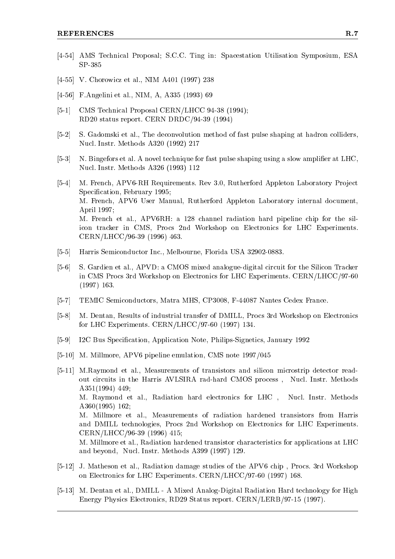- [4-54] AMS Technical Proposal; S.C.C. Ting in: Spacestation Utilisation Symposium, ESA
- [4-55] V. Chorowicz et al., NIM A401 (1997) 238
- [4-56] F.Angelini et al., NIM, A, A335 (1993) 69
- [5-1] CMS Technical Proposal CERN/LHCC 94-38 (1994); RD20 status report. CERN DRDC/94-39 (1994)
- [5-2] S. Gadomski et al., The deconvolution method of fast pulse shaping at hadron colliders, Nucl. Instr. Methods A320 (1992) 217
- [5-3] N. Bingefors et al. A novel technique for fast pulse shaping using a slow amplifier at LHC, Nucl. Instr. Methods A326 (1993) 112
- [5-4] M. French, APV6-RH Requirements. Rev 3.0, Rutherford Appleton Laboratory Project Specification, February 1995; M. French, APV6 User Manual, Rutherford Appleton Laboratory internal document, April 1997; M. French et al., APV6RH: a 128 channel radiation hard pipeline chip for the silicon tracker in CMS, Procs 2nd Workshop on Electronics for LHC Experiments. CERN/LHCC/96-39 (1996) 463.
- [5-5] Harris Semiconductor Inc., Melbourne, Florida USA 32902-0883.
- [5-6] S. Gardien et al., APVD: a CMOS mixed analogue-digital circuit for the Silicon Tracker in CMS Procs 3rd Workshop on Electronics for LHC Experiments. CERN/LHCC/97-60 (1997) 163.
- [5-7] TEMIC Semiconductors, Matra MHS, CP3008, F-44087 Nantes Cedex France.
- [5-8] M. Dentan, Results of industrial transfer of DMILL, Procs 3rd Workshop on Electronics for LHC Experiments. CERN/LHCC/97-60 (1997) 134.
- [5-9] I2C Bus Specication, Application Note, Philips-Signetics, January 1992
- [5-10] M. Millmore, APV6 pipeline emulation, CMS note 1997/045
- [5-11] M.Raymond et al., Measurements of transistors and silicon microstrip detector readout circuits in the Harris AVLSIRA rad-hard CMOS process , Nucl. Instr. Methods A351(1994) 449; M. Raymond et al., Radiation hard electronics for LHC , Nucl. Instr. Methods A360(1995) 162; M. Millmore et al., Measurements of radiation hardened transistors from Harris and DMILL technologies, Procs 2nd Workshop on Electronics for LHC Experiments. CERN/LHCC/96-39 (1996) 415; M. Millmore et al., Radiation hardened transistor characteristics for applications at LHC and beyond, Nucl. Instr. Methods A399 (1997) 129.
- [5-12] J. Matheson et al., Radiation damage studies of the APV6 chip , Procs. 3rd Workshop on Electronics for LHC Experiments. CERN/LHCC/97-60 (1997) 168.
- [5-13] M. Dentan et al., DMILL A Mixed Analog-Digital Radiation Hard technology for High Energy Physics Electronics, RD29 Status report. CERN/LERB/97-15 (1997).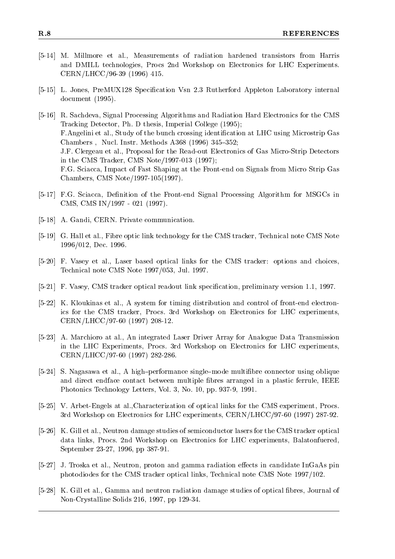- [5-14] M. Millmore et al., Measurements of radiation hardened transistors from Harris and DMILL technologies, Procs 2nd Workshop on Electronics for LHC Experiments. CERN/LHCC/96-39 (1996) 415.
- [5-15] L. Jones, PreMUX128 Specification Vsn 2.3 Rutherford Appleton Laboratory internal document (1995).
- [5-16] R. Sachdeva, Signal Processing Algorithms and Radiation Hard Electronics for the CMS Tracking Detector, Ph. D thesis, Imperial College (1995); F. Angelini et al., Study of the bunch crossing identification at LHC using Microstrip Gas Chambers, Nucl. Instr. Methods A368 (1996) 345-352; J.F. Clergeau et al., Proposal for the Read-out Electronics of Gas Micro-Strip Detectors in the CMS Tracker, CMS Note/1997-013 (1997); F.G. Sciacca, Impact of Fast Shaping at the Front-end on Signals from Micro Strip Gas Chambers, CMS Note/1997-105(1997).
- [5-17] F.G. Sciacca, Definition of the Front-end Signal Processing Algorithm for MSGCs in CMS, CMS IN/1997 - 021 (1997).
- [5-18] A. Gandi, CERN. Private communication.
- [5-19] G. Hall et al., Fibre optic link technology for the CMS tracker, Technical note CMS Note 1996/012, Dec. 1996.
- [5-20] F. Vasey et al., Laser based optical links for the CMS tracker: options and choices, Technical note CMS Note 1997/053, Jul. 1997.
- [5-21] F. Vasey, CMS tracker optical readout link specication, preliminary version 1.1, 1997.
- [5-22] K. Kloukinas et al., A system for timing distribution and control of front-end electronics for the CMS tracker, Procs. 3rd Workshop on Electronics for LHC experiments, CERN/LHCC/97-60 (1997) 208-12.
- [5-23] A. Marchioro at al., An integrated Laser Driver Array for Analogue Data Transmission in the LHC Experiments, Procs. 3rd Workshop on Electronics for LHC experiments, CERN/LHCC/97-60 (1997) 282-286.
- [5-24] S. Nagasawa et al., A high-performance single-mode multifibre connector using oblique and direct endface contact between multiple bres arranged in a plastic ferrule, IEEE Photonics Technology Letters, Vol. 3, No. 10, pp. 937-9, 1991.
- [5-25] V. Arbet-Engels at al.,Characterization of optical links for the CMS experiment, Procs. 3rd Workshop on Electronics for LHC experiments, CERN/LHCC/97-60 (1997) 287-92.
- [5-26] K. Gill et al., Neutron damage studies of semiconductor lasers for the CMS tracker optical data links, Procs. 2nd Workshop on Electronics for LHC experiments, Balatonfuered, September 23-27, 1996, pp 387-91.
- [5-27] J. Troska et al., Neutron, proton and gamma radiation effects in candidate InGaAs pin photodiodes for the CMS tracker optical links, Technical note CMS Note 1997/102.
- [5-28] K. Gill et al., Gamma and neutron radiation damage studies of optical bres, Journal of Non-Crystalline Solids 216, 1997, pp 129-34.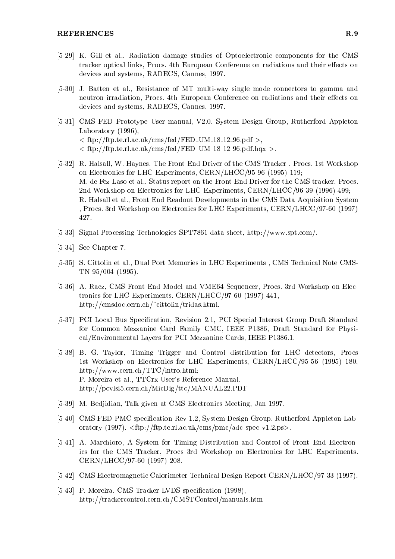- [5-29] K. Gill et al., Radiation damage studies of Optoelectronic components for the CMS tracker optical links, Procs. 4th European Conference on radiations and their effects on devices and systems, RADECS, Cannes, 1997.
- [5-30] J. Batten et al., Resistance of MT multi-way single mode connectors to gamma and neutron irradiation, Procs. 4th European Conference on radiations and their effects on devices and systems, RADECS, Cannes, 1997.
- [5-31] CMS FED Prototype User manual, V2.0, System Design Group, Rutherford Appleton Laboratory (1996),  $\langle \frac{f_{\text{th}}}{f_{\text{th}}} \rangle / f_{\text{th}}$ .te.rl.ac.uk/cms/fed/FED\_UM\_18\_12\_96.pdf  $>$ ,  $\langle \frac{f_{\text{th}}}{f_{\text{th}}} \rangle / f_{\text{th}}$ .te.rl.ac.uk/cms/fed/FED\_UM\_18\_12\_96.pdf.hqx  $>$ .
- [5-32] R. Halsall, W. Haynes, The Front End Driver of the CMS Tracker , Procs. 1st Workshop on Electronics for LHC Experiments, CERN/LHCC/95-96 (1995) 119; M. de Fez-Laso et al., Status report on the Front End Driver for the CMS tracker, Procs. 2nd Workshop on Electronics for LHC Experiments, CERN/LHCC/96-39 (1996) 499; R. Halsall et al., Front End Readout Developments in the CMS Data Acquisition System , Procs. 3rd Workshop on Electronics for LHC Experiments, CERN/LHCC/97-60 (1997) 427.
- [5-33] Signal Processing Technologies SPT7861 data sheet, http://www.spt.com/.
- [5-34] See Chapter 7.
- [5-35] S. Cittolin et al., Dual Port Memories in LHC Experiments , CMS Technical Note CMS-TN 95/004 (1995).
- [5-36] A. Racz, CMS Front End Model and VME64 Sequencer, Procs. 3rd Workshop on Electronics for LHC Experiments, CERN/LHCC/97-60 (1997) 441, http://cmsdoc.cern.ch/~cittolin/tridas.html.
- [5-37] PCI Local Bus Specification, Revision 2.1, PCI Special Interest Group Draft Standard for Common Mezzanine Card Family CMC, IEEE P1386, Draft Standard for Physical/Environmental Layers for PCI Mezzanine Cards, IEEE P1386.1.
- [5-38] B. G. Taylor, Timing Trigger and Control distribution for LHC detectors, Procs 1st Workshop on Electronics for LHC Experiments, CERN/LHCC/95-56 (1995) 180, http://www.cern.ch/TTC/intro.html; P. Moreira et al., TTCrx User's Reference Manual, http://pcvlsi5.cern.ch/MicDig/ttc/MANUAL22.PDF
- [5-39] M. Bedjidian, Talk given at CMS Electronics Meeting, Jan 1997.
- [5-40] CMS FED PMC specification Rev 1.2, System Design Group, Rutherford Appleton Laboratory  $(1997)$ ,  $\langle$ ftp://ftp.te.rl.ac.uk/cms/pmc/adc\_spec\_v1.2.ps>.
- [5-41] A. Marchioro, A System for Timing Distribution and Control of Front End Electronics for the CMS Tracker, Procs 3rd Workshop on Electronics for LHC Experiments. CERN/LHCC/97-60 (1997) 208.
- [5-42] CMS Electromagnetic Calorimeter Technical Design Report CERN/LHCC/97-33 (1997).
- [5-43] P. Moreira, CMS Tracker LVDS specification (1998), http://trackercontrol.cern.ch/CMSTControl/manuals.htm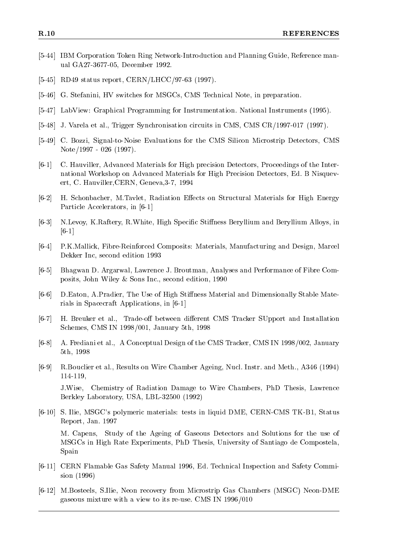- [5-44] IBM Corporation Token Ring Network-Introduction and Planning Guide, Reference manual GA27-3677-05, December 1992.
- [5-45] RD49 status report, CERN/LHCC/97-63 (1997).
- [5-46] G. Stefanini, HV switches for MSGCs, CMS Technical Note, in preparation.
- [5-47] LabView: Graphical Programming for Instrumentation. National Instruments (1995).
- [5-48] J. Varela et al., Trigger Synchronisation circuits in CMS, CMS CR/1997-017 (1997).
- [5-49] C. Bozzi, Signal-to-Noise Evaluations for the CMS Silicon Microstrip Detectors, CMS Note/1997 - 026 (1997).
- [6-1] C. Hauviller, Advanced Materials for High precision Detectors, Proceedings of the International Workshop on Advanced Materials for High Precision Detectors, Ed. B Nisquevert, C. Hauviller,CERN, Geneva,3-7, 1994
- [6-2] H. Schonbacher, M.Tavlet, Radiation Effects on Structural Materials for High Energy Particle Accelerators, in [6-1]
- [6-3] N.Levoy, K.Raftery, R.White, High Specific Stiffness Beryllium and Beryllium Alloys, in [6-1]
- [6-4] P.K.Mallick, Fibre-Reinforced Composits: Materials, Manufacturing and Design, Marcel Dekker Inc, second edition 1993
- [6-5] Bhagwan D. Argarwal, Lawrence J. Broutman, Analyses and Performance of Fibre Composits, John Wiley & Sons Inc., second edition, 1990
- [6-6] D.Eaton, A.Pradier, The Use of High Stiffness Material and Dimensionally Stable Materials in Spacecraft Applications, in [6-1]
- [6-7] H. Breuker et al., Trade-off between different CMS Tracker SUpport and Installation Schemes, CMS IN 1998/001, January 5th, 1998
- [6-8] A. Frediani et al., A Conceptual Design of the CMS Tracker, CMS IN 1998/002, January 5th, 1998
- [6-9] R.Bouclier et al., Results on Wire Chamber Ageing, Nucl. Instr. and Meth., A346 (1994) 114-119,

J.Wise. Chemistry of Radiation Damage to Wire Chambers, PhD Thesis, Lawrence Berkley Laboratory, USA, LBL-32500 (1992)

[6-10] S. Ilie, MSGC's polymeric materials: tests in liquid DME, CERN-CMS TK-B1, Status Report, Jan. 1997 M. Capens, Study of the Ageing of Gaseous Detectors and Solutions for the use of

MSGCs in High Rate Experiments, PhD Thesis, University of Santiago de Compostela, Spain

- [6-11] CERN Flamable Gas Safety Manual 1996, Ed. Technical Inspection and Safety Commision (1996)
- [6-12] M.Bosteels, S.Ilie, Neon recovery from Microstrip Gas Chambers (MSGC) Neon-DME gaseous mixture with a view to its re-use. CMS IN 1996/010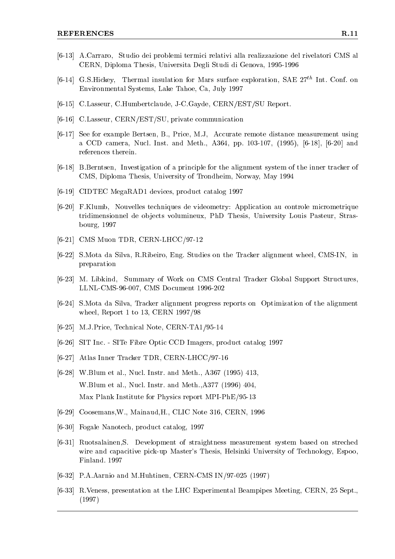- [6-13] A.Carraro, Studio dei problemi termici relativi alla realizzazione del rivelatori CMS al CERN, Diploma Thesis, Universita Degli Studi di Genova, 1995-1996
- [6-14] G.S.Hickey, Thermal insulation for Mars surface exploration, SAE  $27^{th}$  Int. Conf. on Environmental Systems, Lake Tahoe, Ca, July 1997
- [6-15] C.Lasseur, C.Humbertclaude, J-C.Gayde, CERN/EST/SU Report.
- [6-16] C.Lasseur, CERN/EST/SU, private communication
- [6-17] See for example Bertsen, B., Price, M.J, Accurate remote distance measurement using a CCD camera, Nucl. Inst. and Meth., A364, pp. 103-107, (1995), [6-18], [6-20] and references therein.
- [6-18] B.Berntsen, Investigation of a principle for the alignment system of the inner tracker of CMS, Diploma Thesis, University of Trondheim, Norway, May 1994
- [6-19] CIDTEC MegaRAD1 devices, product catalog 1997
- [6-20] F.Klumb, Nouvelles techniques de videometry: Application au controle micrometrique tridimensionnel de objects volumineux, PhD Thesis, University Louis Pasteur, Strasbourg, 1997
- [6-21] CMS Muon TDR, CERN-LHCC/97-12
- [6-22] S.Mota da Silva, R.Ribeiro, Eng. Studies on the Tracker alignment wheel, CMS-IN, in preparation
- [6-23] M. Libkind, Summary of Work on CMS Central Tracker Global Support Structures, LLNL-CMS-96-007, CMS Document 1996-202
- [6-24] S.Mota da Silva, Tracker alignment progress reports on Optimization of the alignment wheel, Report 1 to 13, CERN 1997/98
- [6-25] M.J.Price, Technical Note, CERN-TA1/95-14
- [6-26] SIT Inc. SITe Fibre Optic CCD Imagers, product catalog 1997
- [6-27] Atlas Inner Tracker TDR, CERN-LHCC/97-16
- [6-28] W.Blum et al., Nucl. Instr. and Meth., A367 (1995) 413, W.Blum et al., Nucl. Instr. and Meth.,A377 (1996) 404, Max Plank Institute for Physics report MPI-PhE/95-13
- [6-29] Coosemans,W., Mainaud,H., CLIC Note 316, CERN, 1996
- [6-30] Fogale Nanotech, product catalog, 1997
- [6-31] Ruotsalainen,S. Development of straightness measurement system based on streched wire and capacitive pick-up Master's Thesis, Helsinki University of Technology, Espoo, Finland. 1997
- [6-32] P.A.Aarnio and M.Huhtinen, CERN-CMS IN/97-025 (1997)
- [6-33] R.Veness, presentation at the LHC Experimental Beampipes Meeting, CERN, 25 Sept., (1997)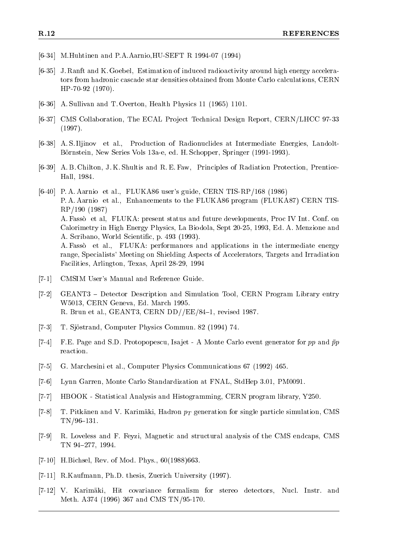- [6-34] M.Huhtinen and P.A.Aarnio,HU-SEFT R 1994-07 (1994)
- [6-35] J. Ranft and K. Goebel, Estimation of induced radioactivity around high energy accelerators from hadronic cascade star densities obtained from Monte Carlo calculations, CERN HP-70-92 (1970).
- [6-36] A. Sullivan and T. Overton, Health Physics 11 (1965) 1101.
- [6-37] CMS Collaboration, The ECAL Project Technical Design Report, CERN/LHCC 97-33 (1997).
- [6-38] A. S. Iljinov et al., Production of Radionuclides at Intermediate Energies, Landolt-Bornstein, New Series Vols 13a-e, ed. H. Schopper, Springer (1991-1993).
- [6-39] A. B. Chilton, J. K. Shultis and R. E. Faw, Principles of Radiation Protection, Prentice-Hall, 1984.
- [6-40] P. A. Aarnio et al., FLUKA86 user's guide, CERN TIS-RP/168 (1986) P. A. Aarnio et al., Enhancements to the FLUKA86 program (FLUKA87) CERN TIS-RP/190 (1987) A. Fasso et al, FLUKA: present status and future developments, Proc IV Int. Conf. on Calorimetry in High Energy Physics, La Biodola, Sept 20-25, 1993, Ed. A. Menzione and A. Scribano, World Scientific, p. 493 (1993). A. Fasso et al., FLUKA: performances and applications in the intermediate energy range, Specialists' Meeting on Shielding Aspects of Accelerators, Targets and Irradiation Facilities, Arlington, Texas, April 28-29, 1994
- [7-1] CMSIM User's Manual and Reference Guide.
- [7-2] GEANT3 Detector Description and Simulation Tool, CERN Program Library entry W5013, CERN Geneva, Ed. March 1995. R. Brun et al., GEANT3, CERN  $DD//EE/84-1$ , revised 1987.
- [7-3] T. Sjostrand, Computer Physics Commun. 82 (1994) 74.
- [7-4] F.E. Page and S.D. Protopopescu, Isajet A Monte Carlo event generator for pp and  $\bar{p}p$ reaction.
- [7-5] G. Marchesini et al., Computer Physics Communications 67 (1992) 465.
- [7-6] Lynn Garren, Monte Carlo Standardization at FNAL, StdHep 3.01, PM0091.
- [7-7] HBOOK Statistical Analysis and Histogramming, CERN program library, Y250.
- [7-8] T. Pitkänen and V. Karimäki, Hadron  $p_T$  generation for single particle simulation, CMS  $TN/96-131$ .
- [7-9] R. Loveless and F. Feyzi, Magnetic and structural analysis of the CMS endcaps, CMS TN 94-277, 1994.
- [7-10] H.Bichsel, Rev. of Mod. Phys., 60(1988)663.
- [7-11] R.Kaufmann, Ph.D. thesis, Zuerich University (1997).
- [7-12] V. Karimaki, Hit covariance formalism for stereo detectors, Nucl. Instr. and Meth. A374 (1996) 367 and CMS TN/95-170.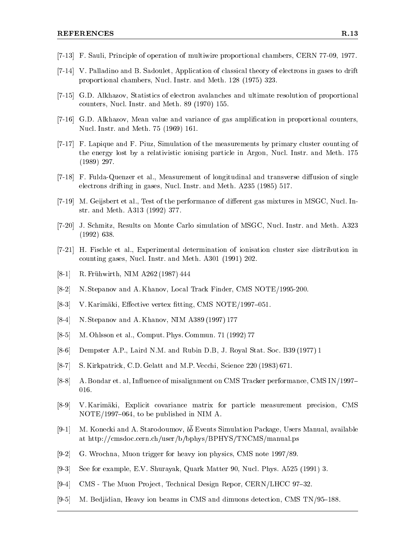- [7-13] F. Sauli, Principle of operation of multiwire proportional chambers, CERN 77-09, 1977.
- [7-14] V. Palladino and B. Sadoulet, Application of classical theory of electrons in gases to drift proportional chambers, Nucl. Instr. and Meth. 128 (1975) 323.
- [7-15] G.D. Alkhazov, Statistics of electron avalanches and ultimate resolution of proportional counters, Nucl. Instr. and Meth. 89 (1970) 155.
- [7-16] G.D. Alkhazov, Mean value and variance of gas amplification in proportional counters, Nucl. Instr. and Meth. 75 (1969) 161.
- [7-17] F. Lapique and F. Piuz, Simulation of the measurements by primary cluster counting of the energy lost by a relativistic ionising particle in Argon, Nucl. Instr. and Meth. 175 (1989) 297.
- [7-18] F. Fulda-Quenzer et al., Measurement of longitudinal and transverse diffusion of single electrons drifting in gases, Nucl. Instr. and Meth. A235 (1985) 517.
- [7-19] M. Geijsbert et al., Test of the performance of different gas mixtures in MSGC, Nucl. Instr. and Meth. A313 (1992) 377.
- [7-20] J. Schmitz, Results on Monte Carlo simulation of MSGC, Nucl. Instr. and Meth. A323 (1992) 638.
- [7-21] H. Fischle et al., Experimental determination of ionisation cluster size distribution in counting gases, Nucl. Instr. and Meth. A301 (1991) 202.
- [8-1] R. Fruhwirth, NIM A262 (1987) 444
- [8-2] N. Stepanov and A. Khanov, Local Track Finder, CMS NOTE/1995-200.
- [8-3] V. Karimäki, Effective vertex fitting, CMS NOTE/1997-051.
- [8-4] N. Stepanov and A. Khanov, NIM A389 (1997) 177
- [8-5] M. Ohlsson et al., Comput. Phys. Commun. 71 (1992) 77
- [8-6] Dempster A.P., Laird N.M. and Rubin D.B, J. Royal Stat. Soc. B39 (1977) 1
- [8-7] S. Kirkpatrick, C.D. Gelatt and M.P. Vecchi, Science 220 (1983) 671.
- [8-8] A. Bondar et. al, Influence of misalignment on CMS Tracker performance, CMS IN/1997– 016.
- [8-9] V. Karimaki, Explicit covariance matrix for particle measurement precision, CMS  $NOTE/1997-064$ , to be published in NIM A.
- [9-1] M. Konecki and A. Starodoumov,  $b\overline{b}$  Events Simulation Package, Users Manual, available at http://cmsdoc.cern.ch/user/b/bphys/BPHYS/TNCMS/manual.ps
- [9-2] G. Wrochna, Muon trigger for heavy ion physics, CMS note 1997/89.
- [9-3] See for example, E.V. Shurayak, Quark Matter 90, Nucl. Phys. A525 (1991) 3.
- [9-4] CMS The Muon Project, Technical Design Repor, CERN/LHCC 97-32.
- $[9-5]$  M. Bedjidian, Heavy ion beams in CMS and dimuons detection, CMS TN/95-188.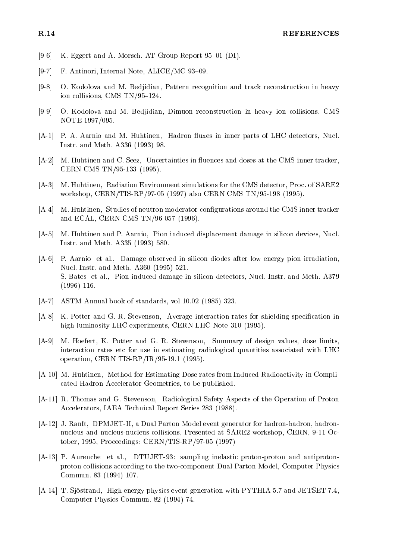- [9-6] K. Eggert and A. Morsch, AT Group Report 95–01 (DI).
- [9-7] F. Antinori, Internal Note, ALICE/MC 93-09.
- [9-8] O. Kodolova and M. Bedjidian, Pattern recognition and track reconstruction in heavy ion collisions, CMS TN/95-124.
- [9-9] O. Kodolova and M. Bedjidian, Dimuon reconstruction in heavy ion collisions, CMS NOTE 1997/095.
- [A-1] P. A. Aarnio and M. Huhtinen, Hadron fluxes in inner parts of LHC detectors, Nucl. Instr. and Meth. A336 (1993) 98.
- [A-2] M. Huhtinen and C. Seez, Uncertainties in fluences and doses at the CMS inner tracker, CERN CMS TN/95-133 (1995).
- [A-3] M. Huhtinen, Radiation Environment simulations for the CMS detector, Proc. of SARE2 workshop, CERN/TIS-RP/97-05 (1997) also CERN CMS TN/95-198 (1995).
- [A-4] M. Huhtinen, Studies of neutron moderator congurations around the CMS inner tracker and ECAL, CERN CMS TN/96-057 (1996).
- [A-5] M. Huhtinen and P. Aarnio, Pion induced displacement damage in silicon devices, Nucl. Instr. and Meth. A335 (1993) 580.
- [A-6] P. Aarnio et al., Damage observed in silicon diodes after low energy pion irradiation, Nucl. Instr. and Meth. A360 (1995) 521. S. Bates et al., Pion induced damage in silicon detectors, Nucl. Instr. and Meth. A379 (1996) 116.
- [A-7] ASTM Annual book of standards, vol 10.02 (1985) 323.
- [A-8] K. Potter and G. R. Stevenson, Average interaction rates for shielding specication in high-luminosity LHC experiments, CERN LHC Note 310 (1995).
- [A-9] M. Hoefert, K. Potter and G. R. Stevenson, Summary of design values, dose limits, interaction rates etc for use in estimating radiological quantities associated with LHC operation, CERN TIS-RP/IR/95-19.1 (1995).
- [A-10] M. Huhtinen, Method for Estimating Dose rates from Induced Radioactivity in Complicated Hadron Accelerator Geometries, to be published.
- [A-11] R. Thomas and G. Stevenson, Radiological Safety Aspects of the Operation of Proton Accelerators, IAEA Technical Report Series 283 (1988).
- [A-12] J. Ranft, DPMJET-II, a Dual Parton Model event generator for hadron-hadron, hadronnucleus and nucleus-nucleus collisions, Presented at SARE2 workshop, CERN, 9-11 October, 1995, Proceedings: CERN/TIS-RP/97-05 (1997)
- [A-13] P. Aurenche et al., DTUJET-93: sampling inelastic proton-proton and antiprotonproton collisions according to the two-component Dual Parton Model, Computer Physics Commun. 83 (1994) 107.
- [A-14] T. Sjöstrand, High energy physics event generation with PYTHIA 5.7 and JETSET 7.4, Computer Physics Commun. 82 (1994) 74.